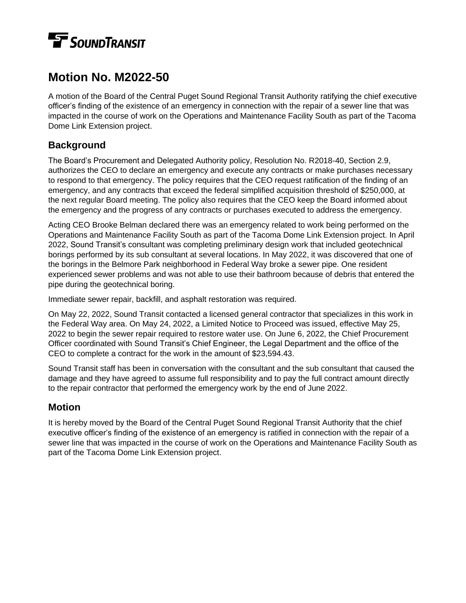## **TE** SOUNDTRANSIT

## **Motion No. M2022-50**

A motion of the Board of the Central Puget Sound Regional Transit Authority ratifying the chief executive officer's finding of the existence of an emergency in connection with the repair of a sewer line that was impacted in the course of work on the Operations and Maintenance Facility South as part of the Tacoma Dome Link Extension project.

## **Background**

The Board's Procurement and Delegated Authority policy, Resolution No. R2018-40, Section 2.9, authorizes the CEO to declare an emergency and execute any contracts or make purchases necessary to respond to that emergency. The policy requires that the CEO request ratification of the finding of an emergency, and any contracts that exceed the federal simplified acquisition threshold of \$250,000, at the next regular Board meeting. The policy also requires that the CEO keep the Board informed about the emergency and the progress of any contracts or purchases executed to address the emergency.

Acting CEO Brooke Belman declared there was an emergency related to work being performed on the Operations and Maintenance Facility South as part of the Tacoma Dome Link Extension project. In April 2022, Sound Transit's consultant was completing preliminary design work that included geotechnical borings performed by its sub consultant at several locations. In May 2022, it was discovered that one of the borings in the Belmore Park neighborhood in Federal Way broke a sewer pipe. One resident experienced sewer problems and was not able to use their bathroom because of debris that entered the pipe during the geotechnical boring.

Immediate sewer repair, backfill, and asphalt restoration was required.

On May 22, 2022, Sound Transit contacted a licensed general contractor that specializes in this work in the Federal Way area. On May 24, 2022, a Limited Notice to Proceed was issued, effective May 25, 2022 to begin the sewer repair required to restore water use. On June 6, 2022, the Chief Procurement Officer coordinated with Sound Transit's Chief Engineer, the Legal Department and the office of the CEO to complete a contract for the work in the amount of \$23,594.43.

Sound Transit staff has been in conversation with the consultant and the sub consultant that caused the damage and they have agreed to assume full responsibility and to pay the full contract amount directly to the repair contractor that performed the emergency work by the end of June 2022.

## **Motion**

It is hereby moved by the Board of the Central Puget Sound Regional Transit Authority that the chief executive officer's finding of the existence of an emergency is ratified in connection with the repair of a sewer line that was impacted in the course of work on the Operations and Maintenance Facility South as part of the Tacoma Dome Link Extension project.